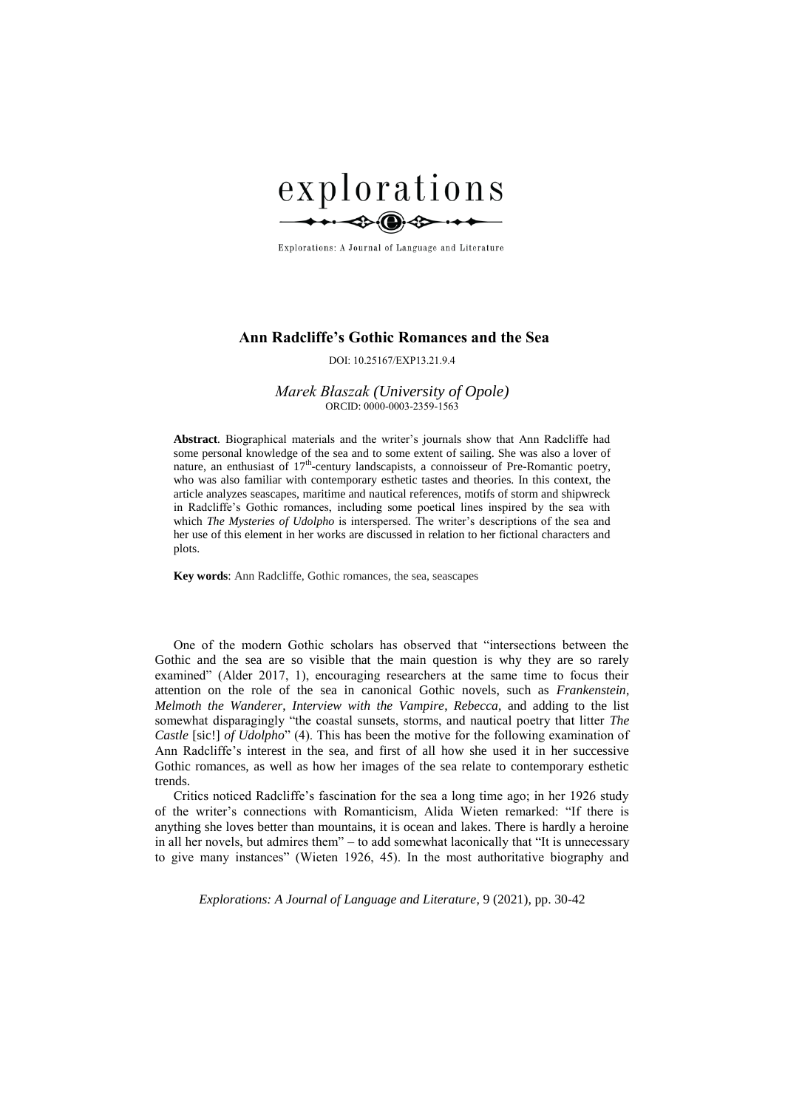

Explorations: A Journal of Language and Literature

# **Ann Radcliffe's Gothic Romances and the Sea**

DOI: 10.25167/EXP13.21.9.4

## *Marek Błaszak (University of Opole)* ORCID: 0000-0003-2359-1563

**Abstract***.* Biographical materials and the writer's journals show that Ann Radcliffe had some personal knowledge of the sea and to some extent of sailing. She was also a lover of nature, an enthusiast of 17<sup>th</sup>-century landscapists, a connoisseur of Pre-Romantic poetry, who was also familiar with contemporary esthetic tastes and theories. In this context, the article analyzes seascapes, maritime and nautical references, motifs of storm and shipwreck in Radcliffe's Gothic romances, including some poetical lines inspired by the sea with which *The Mysteries of Udolpho* is interspersed. The writer's descriptions of the sea and her use of this element in her works are discussed in relation to her fictional characters and plots.

**Key words**: Ann Radcliffe, Gothic romances, the sea, seascapes

One of the modern Gothic scholars has observed that "intersections between the Gothic and the sea are so visible that the main question is why they are so rarely examined" (Alder 2017, 1), encouraging researchers at the same time to focus their attention on the role of the sea in canonical Gothic novels, such as *Frankenstein*, *Melmoth the Wanderer*, *Interview with the Vampire*, *Rebecca*, and adding to the list somewhat disparagingly "the coastal sunsets, storms, and nautical poetry that litter *The Castle* [sic!] *of Udolpho*" (4). This has been the motive for the following examination of Ann Radcliffe's interest in the sea, and first of all how she used it in her successive Gothic romances, as well as how her images of the sea relate to contemporary esthetic trends.

Critics noticed Radcliffe's fascination for the sea a long time ago; in her 1926 study of the writer's connections with Romanticism, Alida Wieten remarked: "If there is anything she loves better than mountains, it is ocean and lakes. There is hardly a heroine in all her novels, but admires them" – to add somewhat laconically that "It is unnecessary to give many instances" (Wieten 1926, 45). In the most authoritative biography and

*Explorations: A Journal of Language and Literature*, 9 (2021), pp. 30-42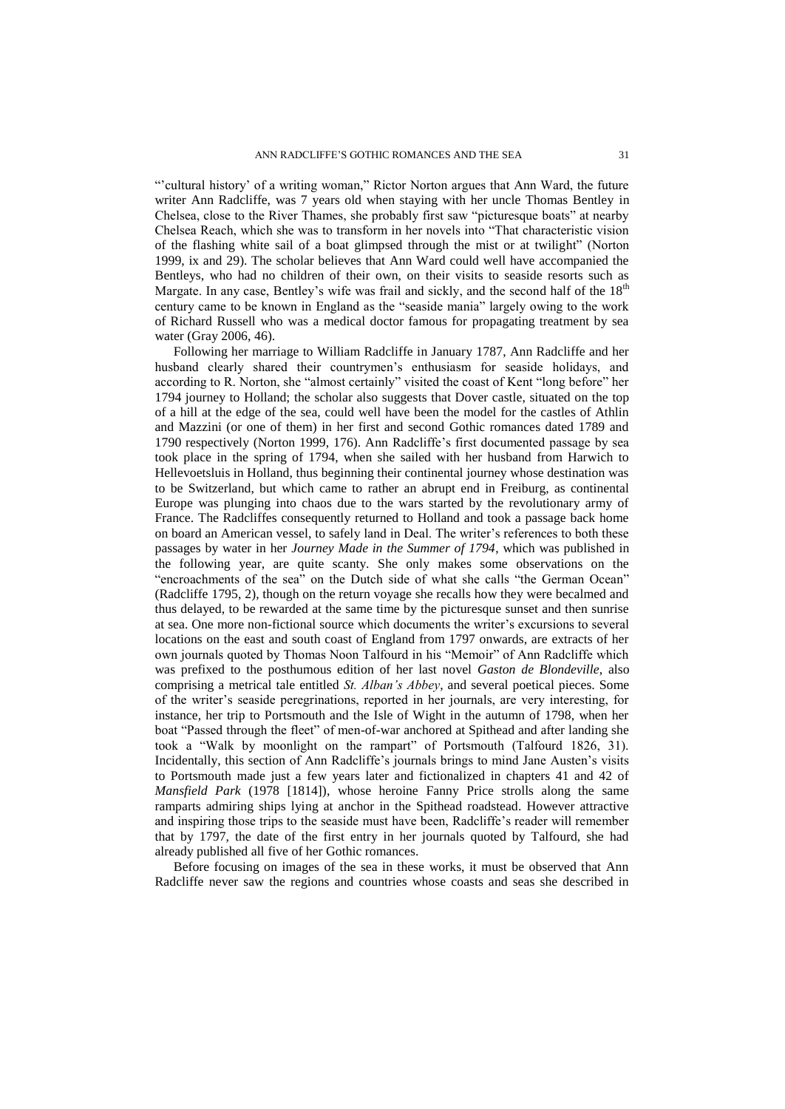"'cultural history' of a writing woman," Rictor Norton argues that Ann Ward, the future writer Ann Radcliffe, was 7 years old when staying with her uncle Thomas Bentley in Chelsea, close to the River Thames, she probably first saw "picturesque boats" at nearby Chelsea Reach, which she was to transform in her novels into "That characteristic vision of the flashing white sail of a boat glimpsed through the mist or at twilight" (Norton 1999, ix and 29). The scholar believes that Ann Ward could well have accompanied the Bentleys, who had no children of their own, on their visits to seaside resorts such as Margate. In any case, Bentley's wife was frail and sickly, and the second half of the  $18<sup>th</sup>$ century came to be known in England as the "seaside mania" largely owing to the work of Richard Russell who was a medical doctor famous for propagating treatment by sea water (Gray 2006, 46).

Following her marriage to William Radcliffe in January 1787, Ann Radcliffe and her husband clearly shared their countrymen's enthusiasm for seaside holidays, and according to R. Norton, she "almost certainly" visited the coast of Kent "long before" her 1794 journey to Holland; the scholar also suggests that Dover castle, situated on the top of a hill at the edge of the sea, could well have been the model for the castles of Athlin and Mazzini (or one of them) in her first and second Gothic romances dated 1789 and 1790 respectively (Norton 1999, 176). Ann Radcliffe's first documented passage by sea took place in the spring of 1794, when she sailed with her husband from Harwich to Hellevoetsluis in Holland, thus beginning their continental journey whose destination was to be Switzerland, but which came to rather an abrupt end in Freiburg, as continental Europe was plunging into chaos due to the wars started by the revolutionary army of France. The Radcliffes consequently returned to Holland and took a passage back home on board an American vessel, to safely land in Deal. The writer's references to both these passages by water in her *Journey Made in the Summer of 1794*, which was published in the following year, are quite scanty. She only makes some observations on the "encroachments of the sea" on the Dutch side of what she calls "the German Ocean" (Radcliffe 1795, 2), though on the return voyage she recalls how they were becalmed and thus delayed, to be rewarded at the same time by the picturesque sunset and then sunrise at sea. One more non-fictional source which documents the writer's excursions to several locations on the east and south coast of England from 1797 onwards, are extracts of her own journals quoted by Thomas Noon Talfourd in his "Memoir" of Ann Radcliffe which was prefixed to the posthumous edition of her last novel *Gaston de Blondeville*, also comprising a metrical tale entitled *St. Alban's Abbey*, and several poetical pieces. Some of the writer's seaside peregrinations, reported in her journals, are very interesting, for instance, her trip to Portsmouth and the Isle of Wight in the autumn of 1798, when her boat "Passed through the fleet" of men-of-war anchored at Spithead and after landing she took a "Walk by moonlight on the rampart" of Portsmouth (Talfourd 1826, 31). Incidentally, this section of Ann Radcliffe's journals brings to mind Jane Austen's visits to Portsmouth made just a few years later and fictionalized in chapters 41 and 42 of *Mansfield Park* (1978 [1814]), whose heroine Fanny Price strolls along the same ramparts admiring ships lying at anchor in the Spithead roadstead. However attractive and inspiring those trips to the seaside must have been, Radcliffe's reader will remember that by 1797, the date of the first entry in her journals quoted by Talfourd, she had already published all five of her Gothic romances.

Before focusing on images of the sea in these works, it must be observed that Ann Radcliffe never saw the regions and countries whose coasts and seas she described in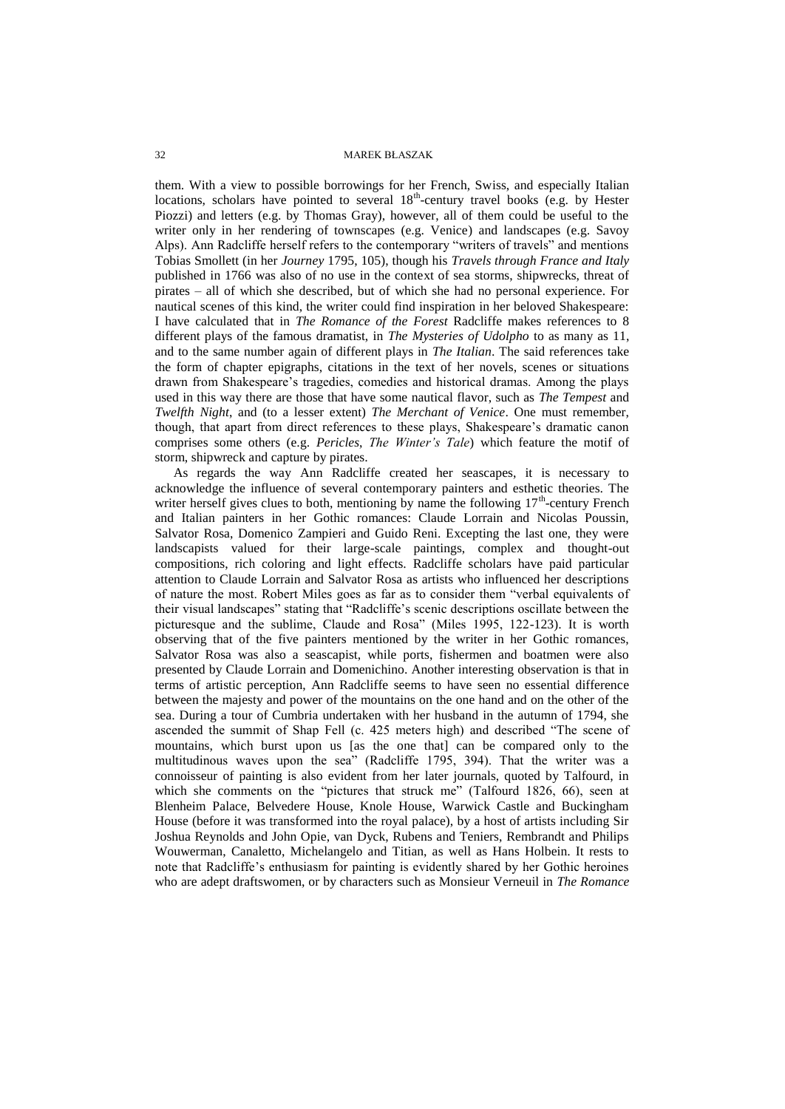them. With a view to possible borrowings for her French, Swiss, and especially Italian locations, scholars have pointed to several 18<sup>th</sup>-century travel books (e.g. by Hester Piozzi) and letters (e.g. by Thomas Gray), however, all of them could be useful to the writer only in her rendering of townscapes (e.g. Venice) and landscapes (e.g. Savoy Alps). Ann Radcliffe herself refers to the contemporary "writers of travels" and mentions Tobias Smollett (in her *Journey* 1795, 105), though his *Travels through France and Italy* published in 1766 was also of no use in the context of sea storms, shipwrecks, threat of pirates – all of which she described, but of which she had no personal experience. For nautical scenes of this kind, the writer could find inspiration in her beloved Shakespeare: I have calculated that in *The Romance of the Forest* Radcliffe makes references to 8 different plays of the famous dramatist, in *The Mysteries of Udolpho* to as many as 11, and to the same number again of different plays in *The Italian*. The said references take the form of chapter epigraphs, citations in the text of her novels, scenes or situations drawn from Shakespeare's tragedies, comedies and historical dramas. Among the plays used in this way there are those that have some nautical flavor, such as *The Tempest* and *Twelfth Night*, and (to a lesser extent) *The Merchant of Venice*. One must remember, though, that apart from direct references to these plays, Shakespeare's dramatic canon comprises some others (e.g. *Pericles*, *The Winter's Tale*) which feature the motif of storm, shipwreck and capture by pirates.

As regards the way Ann Radcliffe created her seascapes, it is necessary to acknowledge the influence of several contemporary painters and esthetic theories. The writer herself gives clues to both, mentioning by name the following  $17<sup>th</sup>$ -century French and Italian painters in her Gothic romances: Claude Lorrain and Nicolas Poussin, Salvator Rosa, Domenico Zampieri and Guido Reni. Excepting the last one, they were landscapists valued for their large-scale paintings, complex and thought-out compositions, rich coloring and light effects. Radcliffe scholars have paid particular attention to Claude Lorrain and Salvator Rosa as artists who influenced her descriptions of nature the most. Robert Miles goes as far as to consider them "verbal equivalents of their visual landscapes" stating that "Radcliffe's scenic descriptions oscillate between the picturesque and the sublime, Claude and Rosa" (Miles 1995, 122-123). It is worth observing that of the five painters mentioned by the writer in her Gothic romances, Salvator Rosa was also a seascapist, while ports, fishermen and boatmen were also presented by Claude Lorrain and Domenichino. Another interesting observation is that in terms of artistic perception, Ann Radcliffe seems to have seen no essential difference between the majesty and power of the mountains on the one hand and on the other of the sea. During a tour of Cumbria undertaken with her husband in the autumn of 1794, she ascended the summit of Shap Fell (c. 425 meters high) and described "The scene of mountains, which burst upon us [as the one that] can be compared only to the multitudinous waves upon the sea" (Radcliffe 1795, 394). That the writer was a connoisseur of painting is also evident from her later journals, quoted by Talfourd, in which she comments on the "pictures that struck me" (Talfourd 1826, 66), seen at Blenheim Palace, Belvedere House, Knole House, Warwick Castle and Buckingham House (before it was transformed into the royal palace), by a host of artists including Sir Joshua Reynolds and John Opie, van Dyck, Rubens and Teniers, Rembrandt and Philips Wouwerman, Canaletto, Michelangelo and Titian, as well as Hans Holbein. It rests to note that Radcliffe's enthusiasm for painting is evidently shared by her Gothic heroines who are adept draftswomen, or by characters such as Monsieur Verneuil in *The Romance*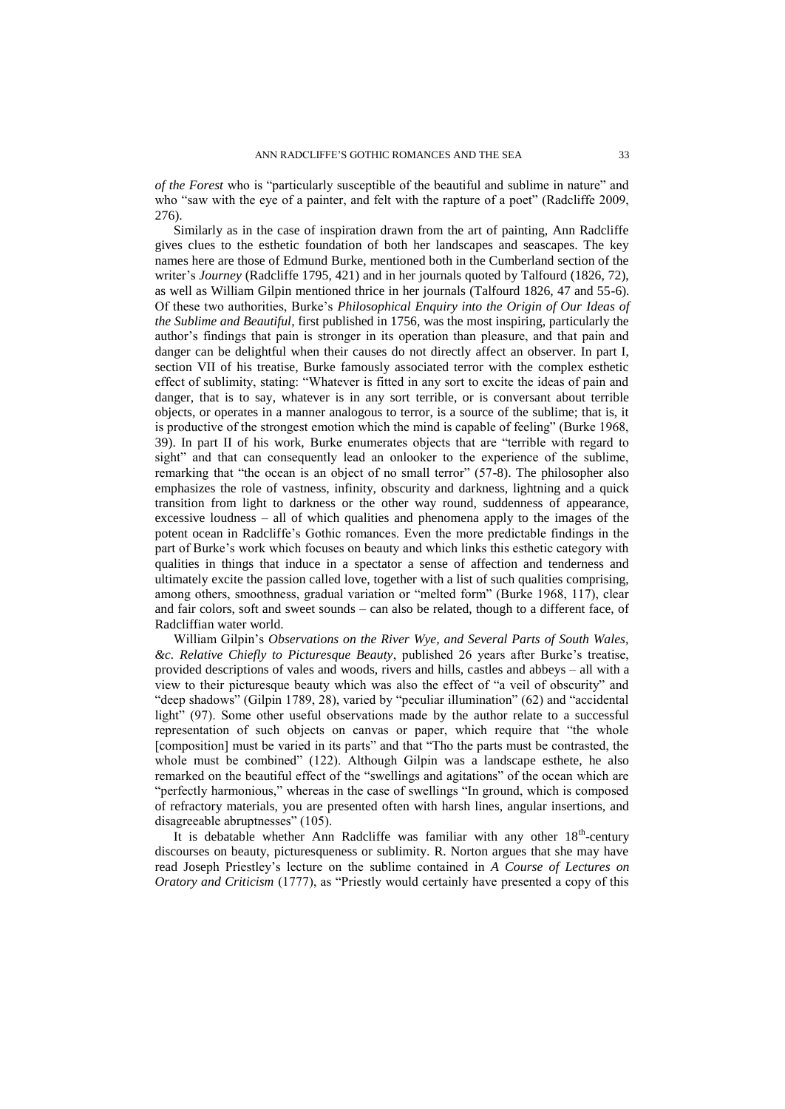*of the Forest* who is "particularly susceptible of the beautiful and sublime in nature" and who "saw with the eye of a painter, and felt with the rapture of a poet" (Radcliffe 2009, 276).

Similarly as in the case of inspiration drawn from the art of painting, Ann Radcliffe gives clues to the esthetic foundation of both her landscapes and seascapes. The key names here are those of Edmund Burke, mentioned both in the Cumberland section of the writer's *Journey* (Radcliffe 1795, 421) and in her journals quoted by Talfourd (1826, 72), as well as William Gilpin mentioned thrice in her journals (Talfourd 1826, 47 and 55-6). Of these two authorities, Burke's *Philosophical Enquiry into the Origin of Our Ideas of the Sublime and Beautiful*, first published in 1756, was the most inspiring, particularly the author's findings that pain is stronger in its operation than pleasure, and that pain and danger can be delightful when their causes do not directly affect an observer. In part I, section VII of his treatise, Burke famously associated terror with the complex esthetic effect of sublimity, stating: "Whatever is fitted in any sort to excite the ideas of pain and danger, that is to say, whatever is in any sort terrible, or is conversant about terrible objects, or operates in a manner analogous to terror, is a source of the sublime; that is, it is productive of the strongest emotion which the mind is capable of feeling" (Burke 1968, 39). In part II of his work, Burke enumerates objects that are "terrible with regard to sight" and that can consequently lead an onlooker to the experience of the sublime, remarking that "the ocean is an object of no small terror" (57-8). The philosopher also emphasizes the role of vastness, infinity, obscurity and darkness, lightning and a quick transition from light to darkness or the other way round, suddenness of appearance, excessive loudness – all of which qualities and phenomena apply to the images of the potent ocean in Radcliffe's Gothic romances. Even the more predictable findings in the part of Burke's work which focuses on beauty and which links this esthetic category with qualities in things that induce in a spectator a sense of affection and tenderness and ultimately excite the passion called love, together with a list of such qualities comprising, among others, smoothness, gradual variation or "melted form" (Burke 1968, 117), clear and fair colors, soft and sweet sounds – can also be related, though to a different face, of Radcliffian water world.

William Gilpin's *Observations on the River Wye, and Several Parts of South Wales, &c. Relative Chiefly to Picturesque Beauty*, published 26 years after Burke's treatise, provided descriptions of vales and woods, rivers and hills, castles and abbeys – all with a view to their picturesque beauty which was also the effect of "a veil of obscurity" and "deep shadows" (Gilpin 1789, 28), varied by "peculiar illumination" (62) and "accidental light" (97). Some other useful observations made by the author relate to a successful representation of such objects on canvas or paper, which require that "the whole [composition] must be varied in its parts" and that "Tho the parts must be contrasted, the whole must be combined" (122). Although Gilpin was a landscape esthete, he also remarked on the beautiful effect of the "swellings and agitations" of the ocean which are "perfectly harmonious," whereas in the case of swellings "In ground, which is composed of refractory materials, you are presented often with harsh lines, angular insertions, and disagreeable abruptnesses" (105).

It is debatable whether Ann Radcliffe was familiar with any other 18<sup>th</sup>-century discourses on beauty, picturesqueness or sublimity. R. Norton argues that she may have read Joseph Priestley's lecture on the sublime contained in *A Course of Lectures on Oratory and Criticism* (1777), as "Priestly would certainly have presented a copy of this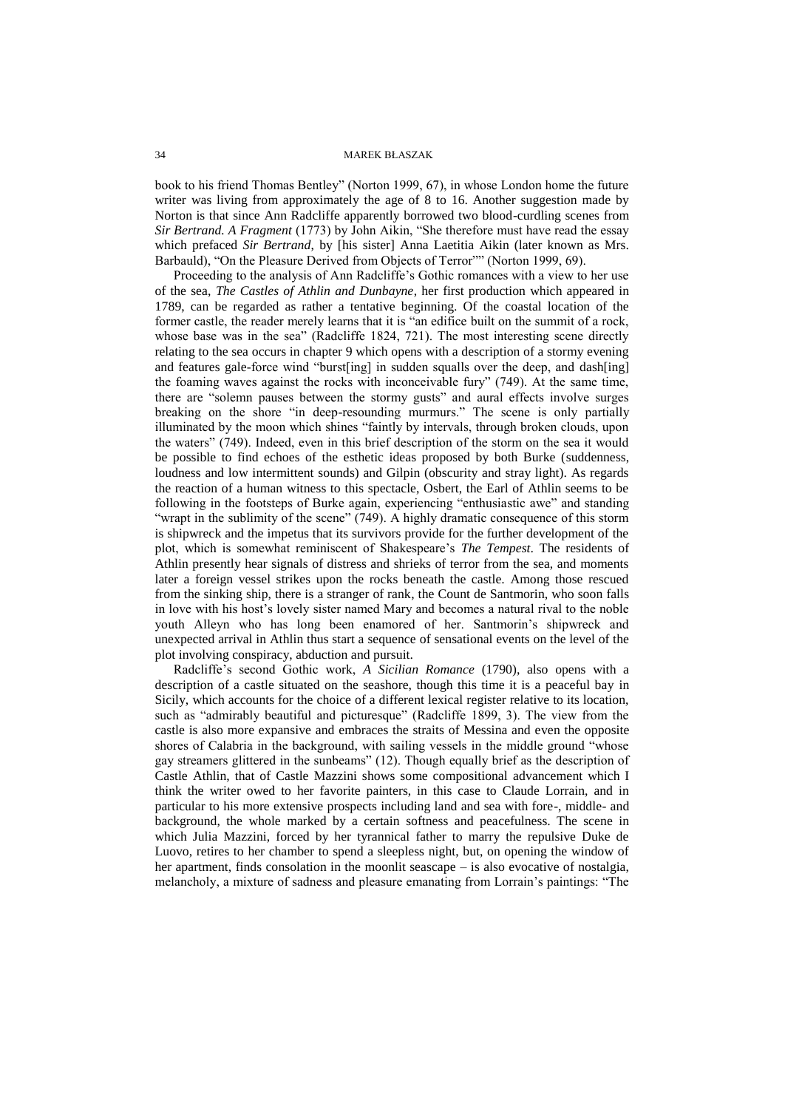book to his friend Thomas Bentley" (Norton 1999, 67), in whose London home the future writer was living from approximately the age of 8 to 16. Another suggestion made by Norton is that since Ann Radcliffe apparently borrowed two blood-curdling scenes from *Sir Bertrand. A Fragment* (1773) by John Aikin, "She therefore must have read the essay which prefaced *Sir Bertrand*, by [his sister] Anna Laetitia Aikin (later known as Mrs. Barbauld), "On the Pleasure Derived from Objects of Terror"" (Norton 1999, 69).

Proceeding to the analysis of Ann Radcliffe's Gothic romances with a view to her use of the sea, *The Castles of Athlin and Dunbayne*, her first production which appeared in 1789, can be regarded as rather a tentative beginning. Of the coastal location of the former castle, the reader merely learns that it is "an edifice built on the summit of a rock, whose base was in the sea" (Radcliffe 1824, 721). The most interesting scene directly relating to the sea occurs in chapter 9 which opens with a description of a stormy evening and features gale-force wind "burst[ing] in sudden squalls over the deep, and dash[ing] the foaming waves against the rocks with inconceivable fury" (749). At the same time, there are "solemn pauses between the stormy gusts" and aural effects involve surges breaking on the shore "in deep-resounding murmurs." The scene is only partially illuminated by the moon which shines "faintly by intervals, through broken clouds, upon the waters" (749). Indeed, even in this brief description of the storm on the sea it would be possible to find echoes of the esthetic ideas proposed by both Burke (suddenness, loudness and low intermittent sounds) and Gilpin (obscurity and stray light). As regards the reaction of a human witness to this spectacle, Osbert, the Earl of Athlin seems to be following in the footsteps of Burke again, experiencing "enthusiastic awe" and standing "wrapt in the sublimity of the scene" (749). A highly dramatic consequence of this storm is shipwreck and the impetus that its survivors provide for the further development of the plot, which is somewhat reminiscent of Shakespeare's *The Tempest*. The residents of Athlin presently hear signals of distress and shrieks of terror from the sea, and moments later a foreign vessel strikes upon the rocks beneath the castle. Among those rescued from the sinking ship, there is a stranger of rank, the Count de Santmorin, who soon falls in love with his host's lovely sister named Mary and becomes a natural rival to the noble youth Alleyn who has long been enamored of her. Santmorin's shipwreck and unexpected arrival in Athlin thus start a sequence of sensational events on the level of the plot involving conspiracy, abduction and pursuit.

Radcliffe's second Gothic work, *A Sicilian Romance* (1790), also opens with a description of a castle situated on the seashore, though this time it is a peaceful bay in Sicily, which accounts for the choice of a different lexical register relative to its location, such as "admirably beautiful and picturesque" (Radcliffe 1899, 3). The view from the castle is also more expansive and embraces the straits of Messina and even the opposite shores of Calabria in the background, with sailing vessels in the middle ground "whose gay streamers glittered in the sunbeams" (12). Though equally brief as the description of Castle Athlin, that of Castle Mazzini shows some compositional advancement which I think the writer owed to her favorite painters, in this case to Claude Lorrain, and in particular to his more extensive prospects including land and sea with fore-, middle- and background, the whole marked by a certain softness and peacefulness. The scene in which Julia Mazzini, forced by her tyrannical father to marry the repulsive Duke de Luovo, retires to her chamber to spend a sleepless night, but, on opening the window of her apartment, finds consolation in the moonlit seascape – is also evocative of nostalgia, melancholy, a mixture of sadness and pleasure emanating from Lorrain's paintings: "The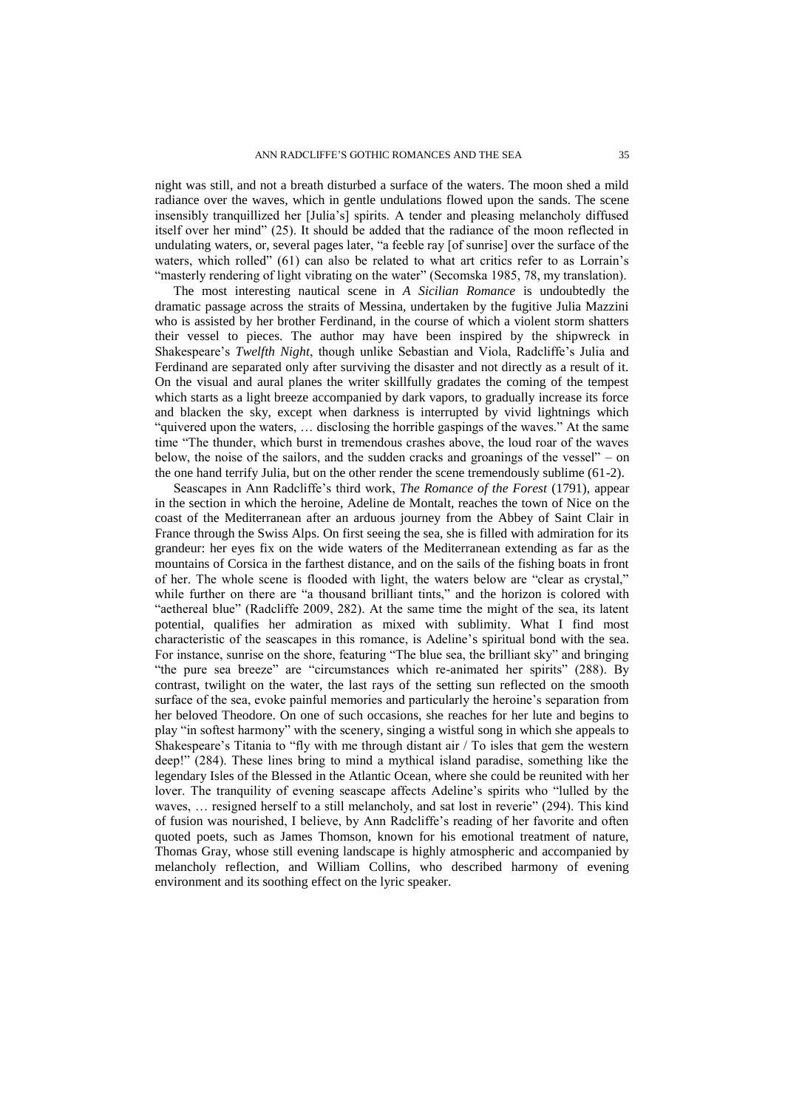night was still, and not a breath disturbed a surface of the waters. The moon shed a mild radiance over the waves, which in gentle undulations flowed upon the sands. The scene insensibly tranquillized her [Julia's] spirits. A tender and pleasing melancholy diffused itself over her mind" (25). It should be added that the radiance of the moon reflected in undulating waters, or, several pages later, "a feeble ray [of sunrise] over the surface of the waters, which rolled" (61) can also be related to what art critics refer to as Lorrain's "masterly rendering of light vibrating on the water" (Secomska 1985, 78, my translation).

The most interesting nautical scene in *A Sicilian Romance* is undoubtedly the dramatic passage across the straits of Messina, undertaken by the fugitive Julia Mazzini who is assisted by her brother Ferdinand, in the course of which a violent storm shatters their vessel to pieces. The author may have been inspired by the shipwreck in Shakespeare's *Twelfth Night*, though unlike Sebastian and Viola, Radcliffe's Julia and Ferdinand are separated only after surviving the disaster and not directly as a result of it. On the visual and aural planes the writer skillfully gradates the coming of the tempest which starts as a light breeze accompanied by dark vapors, to gradually increase its force and blacken the sky, except when darkness is interrupted by vivid lightnings which "quivered upon the waters, … disclosing the horrible gaspings of the waves." At the same time "The thunder, which burst in tremendous crashes above, the loud roar of the waves below, the noise of the sailors, and the sudden cracks and groanings of the vessel" – on the one hand terrify Julia, but on the other render the scene tremendously sublime (61-2).

Seascapes in Ann Radcliffe's third work, *The Romance of the Forest* (1791), appear in the section in which the heroine, Adeline de Montalt, reaches the town of Nice on the coast of the Mediterranean after an arduous journey from the Abbey of Saint Clair in France through the Swiss Alps. On first seeing the sea, she is filled with admiration for its grandeur: her eyes fix on the wide waters of the Mediterranean extending as far as the mountains of Corsica in the farthest distance, and on the sails of the fishing boats in front of her. The whole scene is flooded with light, the waters below are "clear as crystal," while further on there are "a thousand brilliant tints," and the horizon is colored with "aethereal blue" (Radcliffe 2009, 282). At the same time the might of the sea, its latent potential, qualifies her admiration as mixed with sublimity. What I find most characteristic of the seascapes in this romance, is Adeline's spiritual bond with the sea. For instance, sunrise on the shore, featuring "The blue sea, the brilliant sky" and bringing "the pure sea breeze" are "circumstances which re-animated her spirits" (288). By contrast, twilight on the water, the last rays of the setting sun reflected on the smooth surface of the sea, evoke painful memories and particularly the heroine's separation from her beloved Theodore. On one of such occasions, she reaches for her lute and begins to play "in softest harmony" with the scenery, singing a wistful song in which she appeals to Shakespeare's Titania to "fly with me through distant air / To isles that gem the western deep!" (284). These lines bring to mind a mythical island paradise, something like the legendary Isles of the Blessed in the Atlantic Ocean, where she could be reunited with her lover. The tranquility of evening seascape affects Adeline's spirits who "lulled by the waves, … resigned herself to a still melancholy, and sat lost in reverie" (294). This kind of fusion was nourished, I believe, by Ann Radcliffe's reading of her favorite and often quoted poets, such as James Thomson, known for his emotional treatment of nature, Thomas Gray, whose still evening landscape is highly atmospheric and accompanied by melancholy reflection, and William Collins, who described harmony of evening environment and its soothing effect on the lyric speaker.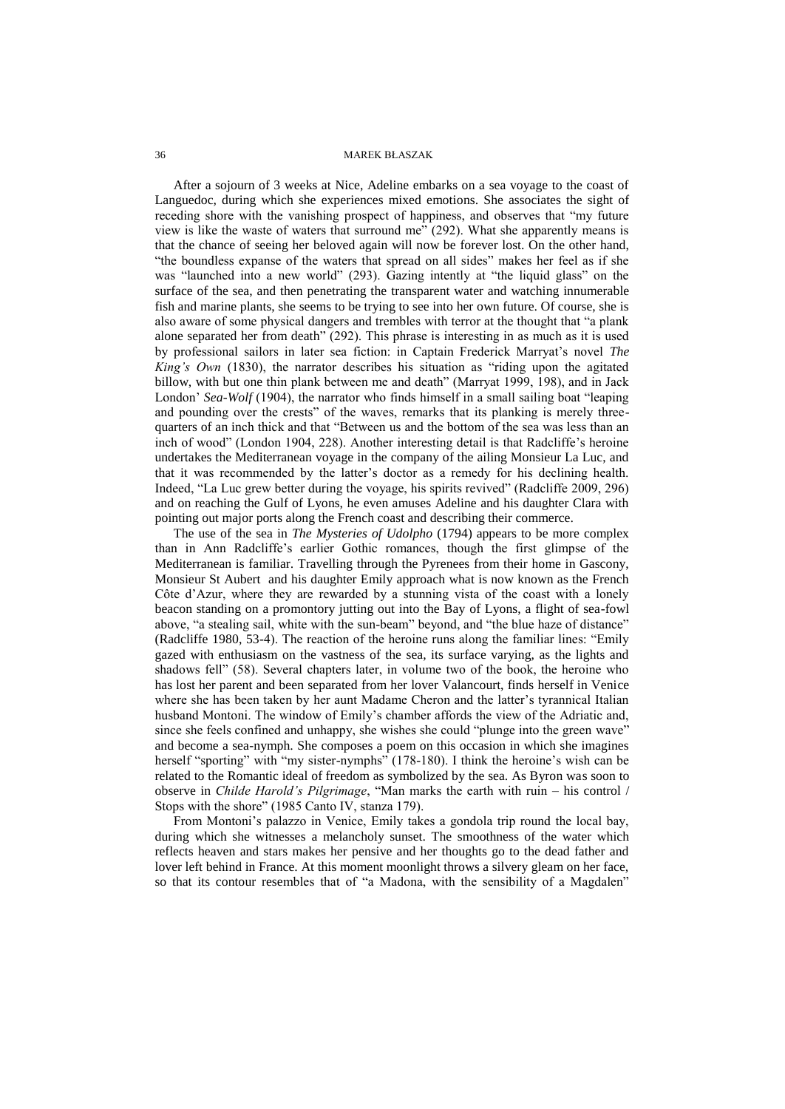After a sojourn of 3 weeks at Nice, Adeline embarks on a sea voyage to the coast of Languedoc, during which she experiences mixed emotions. She associates the sight of receding shore with the vanishing prospect of happiness, and observes that "my future view is like the waste of waters that surround me" (292). What she apparently means is that the chance of seeing her beloved again will now be forever lost. On the other hand, "the boundless expanse of the waters that spread on all sides" makes her feel as if she was "launched into a new world" (293). Gazing intently at "the liquid glass" on the surface of the sea, and then penetrating the transparent water and watching innumerable fish and marine plants, she seems to be trying to see into her own future. Of course, she is also aware of some physical dangers and trembles with terror at the thought that "a plank alone separated her from death" (292). This phrase is interesting in as much as it is used by professional sailors in later sea fiction: in Captain Frederick Marryat's novel *The King's Own* (1830), the narrator describes his situation as "riding upon the agitated billow, with but one thin plank between me and death" (Marryat 1999, 198), and in Jack London' *Sea-Wolf* (1904), the narrator who finds himself in a small sailing boat "leaping" and pounding over the crests" of the waves, remarks that its planking is merely threequarters of an inch thick and that "Between us and the bottom of the sea was less than an inch of wood" (London 1904, 228). Another interesting detail is that Radcliffe's heroine undertakes the Mediterranean voyage in the company of the ailing Monsieur La Luc, and that it was recommended by the latter's doctor as a remedy for his declining health. Indeed, "La Luc grew better during the voyage, his spirits revived" (Radcliffe 2009, 296) and on reaching the Gulf of Lyons, he even amuses Adeline and his daughter Clara with pointing out major ports along the French coast and describing their commerce.

The use of the sea in *The Mysteries of Udolpho* (1794) appears to be more complex than in Ann Radcliffe's earlier Gothic romances, though the first glimpse of the Mediterranean is familiar. Travelling through the Pyrenees from their home in Gascony, Monsieur St Aubert and his daughter Emily approach what is now known as the French Côte d'Azur, where they are rewarded by a stunning vista of the coast with a lonely beacon standing on a promontory jutting out into the Bay of Lyons, a flight of sea-fowl above, "a stealing sail, white with the sun-beam" beyond, and "the blue haze of distance" (Radcliffe 1980, 53-4). The reaction of the heroine runs along the familiar lines: "Emily gazed with enthusiasm on the vastness of the sea, its surface varying, as the lights and shadows fell" (58). Several chapters later, in volume two of the book, the heroine who has lost her parent and been separated from her lover Valancourt, finds herself in Venice where she has been taken by her aunt Madame Cheron and the latter's tyrannical Italian husband Montoni. The window of Emily's chamber affords the view of the Adriatic and, since she feels confined and unhappy, she wishes she could "plunge into the green wave" and become a sea-nymph. She composes a poem on this occasion in which she imagines herself "sporting" with "my sister-nymphs" (178-180). I think the heroine's wish can be related to the Romantic ideal of freedom as symbolized by the sea. As Byron was soon to observe in *Childe Harold's Pilgrimage*, "Man marks the earth with ruin – his control / Stops with the shore" (1985 Canto IV, stanza 179).

From Montoni's palazzo in Venice, Emily takes a gondola trip round the local bay, during which she witnesses a melancholy sunset. The smoothness of the water which reflects heaven and stars makes her pensive and her thoughts go to the dead father and lover left behind in France. At this moment moonlight throws a silvery gleam on her face, so that its contour resembles that of "a Madona, with the sensibility of a Magdalen"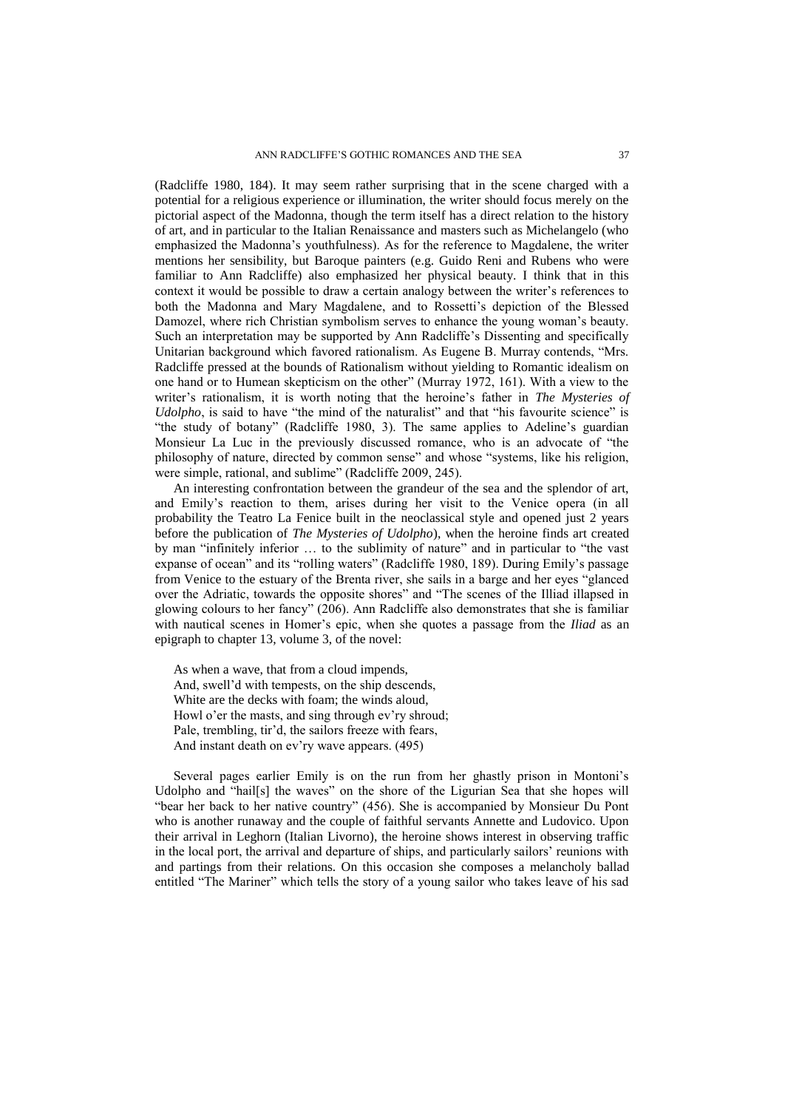(Radcliffe 1980, 184). It may seem rather surprising that in the scene charged with a potential for a religious experience or illumination, the writer should focus merely on the pictorial aspect of the Madonna, though the term itself has a direct relation to the history of art, and in particular to the Italian Renaissance and masters such as Michelangelo (who emphasized the Madonna's youthfulness). As for the reference to Magdalene, the writer mentions her sensibility, but Baroque painters (e.g. Guido Reni and Rubens who were familiar to Ann Radcliffe) also emphasized her physical beauty. I think that in this context it would be possible to draw a certain analogy between the writer's references to both the Madonna and Mary Magdalene, and to Rossetti's depiction of the Blessed Damozel, where rich Christian symbolism serves to enhance the young woman's beauty. Such an interpretation may be supported by Ann Radcliffe's Dissenting and specifically Unitarian background which favored rationalism. As Eugene B. Murray contends, "Mrs. Radcliffe pressed at the bounds of Rationalism without yielding to Romantic idealism on one hand or to Humean skepticism on the other" (Murray 1972, 161). With a view to the writer's rationalism, it is worth noting that the heroine's father in *The Mysteries of Udolpho*, is said to have "the mind of the naturalist" and that "his favourite science" is "the study of botany" (Radcliffe 1980, 3). The same applies to Adeline's guardian Monsieur La Luc in the previously discussed romance, who is an advocate of "the philosophy of nature, directed by common sense" and whose "systems, like his religion, were simple, rational, and sublime" (Radcliffe 2009, 245).

An interesting confrontation between the grandeur of the sea and the splendor of art, and Emily's reaction to them, arises during her visit to the Venice opera (in all probability the Teatro La Fenice built in the neoclassical style and opened just 2 years before the publication of *The Mysteries of Udolpho*), when the heroine finds art created by man "infinitely inferior … to the sublimity of nature" and in particular to "the vast expanse of ocean" and its "rolling waters" (Radcliffe 1980, 189). During Emily's passage from Venice to the estuary of the Brenta river, she sails in a barge and her eyes "glanced over the Adriatic, towards the opposite shores" and "The scenes of the Illiad illapsed in glowing colours to her fancy" (206). Ann Radcliffe also demonstrates that she is familiar with nautical scenes in Homer's epic, when she quotes a passage from the *Iliad* as an epigraph to chapter 13, volume 3, of the novel:

As when a wave, that from a cloud impends, And, swell'd with tempests, on the ship descends, White are the decks with foam; the winds aloud, Howl o'er the masts, and sing through ev'ry shroud; Pale, trembling, tir'd, the sailors freeze with fears, And instant death on ev'ry wave appears. (495)

Several pages earlier Emily is on the run from her ghastly prison in Montoni's Udolpho and "hail[s] the waves" on the shore of the Ligurian Sea that she hopes will "bear her back to her native country" (456). She is accompanied by Monsieur Du Pont who is another runaway and the couple of faithful servants Annette and Ludovico. Upon their arrival in Leghorn (Italian Livorno), the heroine shows interest in observing traffic in the local port, the arrival and departure of ships, and particularly sailors' reunions with and partings from their relations. On this occasion she composes a melancholy ballad entitled "The Mariner" which tells the story of a young sailor who takes leave of his sad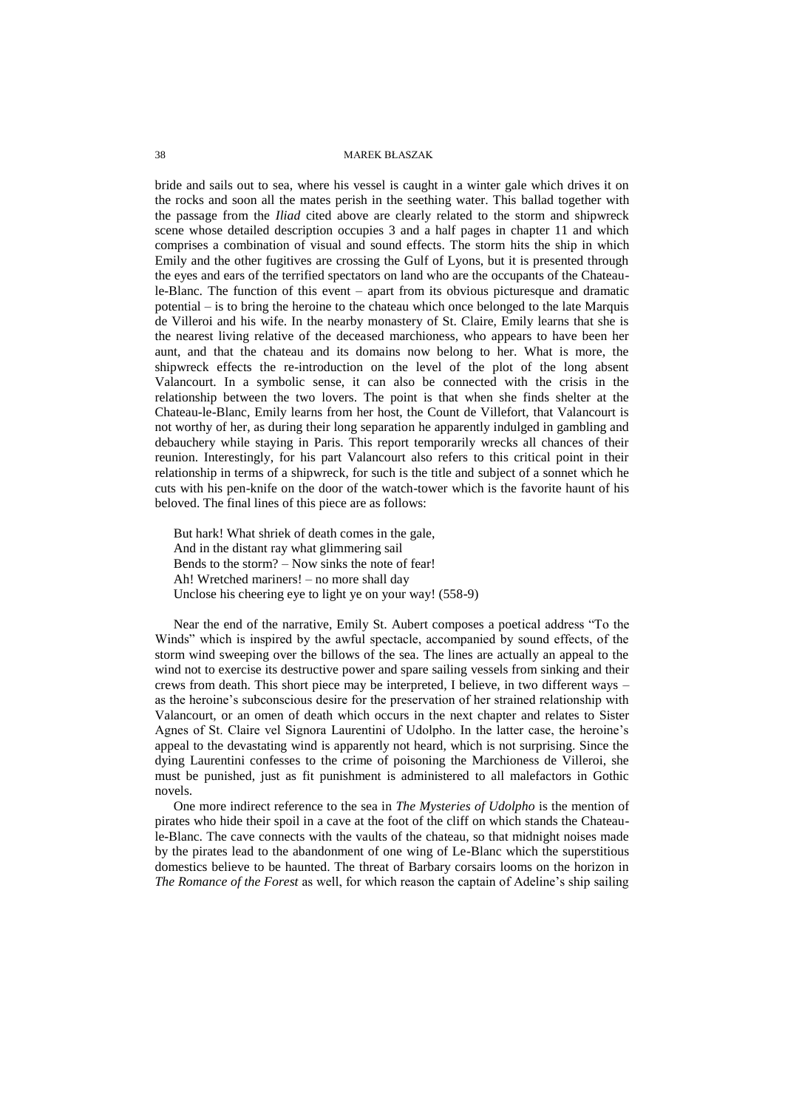bride and sails out to sea, where his vessel is caught in a winter gale which drives it on the rocks and soon all the mates perish in the seething water. This ballad together with the passage from the *Iliad* cited above are clearly related to the storm and shipwreck scene whose detailed description occupies 3 and a half pages in chapter 11 and which comprises a combination of visual and sound effects. The storm hits the ship in which Emily and the other fugitives are crossing the Gulf of Lyons, but it is presented through the eyes and ears of the terrified spectators on land who are the occupants of the Chateaule-Blanc. The function of this event – apart from its obvious picturesque and dramatic potential – is to bring the heroine to the chateau which once belonged to the late Marquis de Villeroi and his wife. In the nearby monastery of St. Claire, Emily learns that she is the nearest living relative of the deceased marchioness, who appears to have been her aunt, and that the chateau and its domains now belong to her. What is more, the shipwreck effects the re-introduction on the level of the plot of the long absent Valancourt. In a symbolic sense, it can also be connected with the crisis in the relationship between the two lovers. The point is that when she finds shelter at the Chateau-le-Blanc, Emily learns from her host, the Count de Villefort, that Valancourt is not worthy of her, as during their long separation he apparently indulged in gambling and debauchery while staying in Paris. This report temporarily wrecks all chances of their reunion. Interestingly, for his part Valancourt also refers to this critical point in their relationship in terms of a shipwreck, for such is the title and subject of a sonnet which he cuts with his pen-knife on the door of the watch-tower which is the favorite haunt of his beloved. The final lines of this piece are as follows:

But hark! What shriek of death comes in the gale, And in the distant ray what glimmering sail Bends to the storm? – Now sinks the note of fear! Ah! Wretched mariners! – no more shall day Unclose his cheering eye to light ye on your way! (558-9)

Near the end of the narrative, Emily St. Aubert composes a poetical address "To the Winds" which is inspired by the awful spectacle, accompanied by sound effects, of the storm wind sweeping over the billows of the sea. The lines are actually an appeal to the wind not to exercise its destructive power and spare sailing vessels from sinking and their crews from death. This short piece may be interpreted, I believe, in two different ways – as the heroine's subconscious desire for the preservation of her strained relationship with Valancourt, or an omen of death which occurs in the next chapter and relates to Sister Agnes of St. Claire vel Signora Laurentini of Udolpho. In the latter case, the heroine's appeal to the devastating wind is apparently not heard, which is not surprising. Since the dying Laurentini confesses to the crime of poisoning the Marchioness de Villeroi, she must be punished, just as fit punishment is administered to all malefactors in Gothic novels.

One more indirect reference to the sea in *The Mysteries of Udolpho* is the mention of pirates who hide their spoil in a cave at the foot of the cliff on which stands the Chateaule-Blanc. The cave connects with the vaults of the chateau, so that midnight noises made by the pirates lead to the abandonment of one wing of Le-Blanc which the superstitious domestics believe to be haunted. The threat of Barbary corsairs looms on the horizon in *The Romance of the Forest* as well, for which reason the captain of Adeline's ship sailing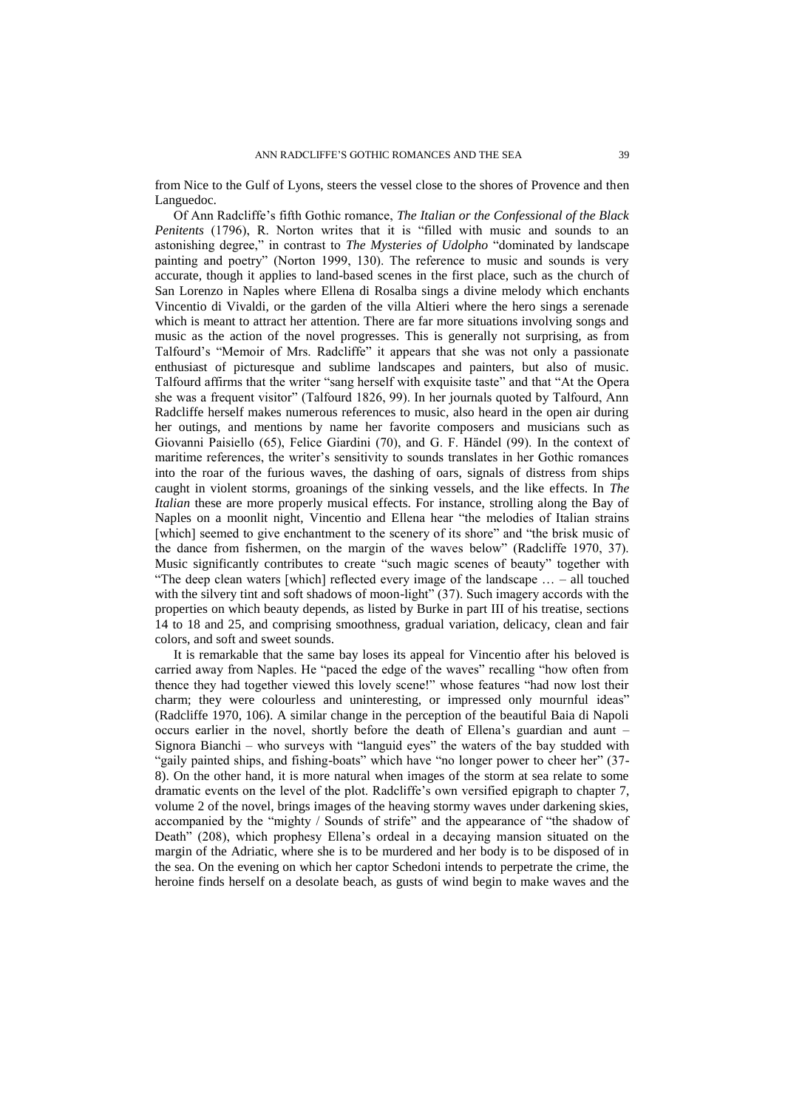from Nice to the Gulf of Lyons, steers the vessel close to the shores of Provence and then Languedoc.

Of Ann Radcliffe's fifth Gothic romance, *The Italian or the Confessional of the Black Penitents* (1796), R. Norton writes that it is "filled with music and sounds to an astonishing degree," in contrast to *The Mysteries of Udolpho* "dominated by landscape painting and poetry" (Norton 1999, 130). The reference to music and sounds is very accurate, though it applies to land-based scenes in the first place, such as the church of San Lorenzo in Naples where Ellena di Rosalba sings a divine melody which enchants Vincentio di Vivaldi, or the garden of the villa Altieri where the hero sings a serenade which is meant to attract her attention. There are far more situations involving songs and music as the action of the novel progresses. This is generally not surprising, as from Talfourd's "Memoir of Mrs. Radcliffe" it appears that she was not only a passionate enthusiast of picturesque and sublime landscapes and painters, but also of music. Talfourd affirms that the writer "sang herself with exquisite taste" and that "At the Opera she was a frequent visitor" (Talfourd 1826, 99). In her journals quoted by Talfourd, Ann Radcliffe herself makes numerous references to music, also heard in the open air during her outings, and mentions by name her favorite composers and musicians such as Giovanni Paisiello (65), Felice Giardini (70), and G. F. Händel (99). In the context of maritime references, the writer's sensitivity to sounds translates in her Gothic romances into the roar of the furious waves, the dashing of oars, signals of distress from ships caught in violent storms, groanings of the sinking vessels, and the like effects. In *The Italian* these are more properly musical effects. For instance, strolling along the Bay of Naples on a moonlit night, Vincentio and Ellena hear "the melodies of Italian strains [which] seemed to give enchantment to the scenery of its shore" and "the brisk music of the dance from fishermen, on the margin of the waves below" (Radcliffe 1970, 37). Music significantly contributes to create "such magic scenes of beauty" together with "The deep clean waters [which] reflected every image of the landscape … – all touched with the silvery tint and soft shadows of moon-light" (37). Such imagery accords with the properties on which beauty depends, as listed by Burke in part III of his treatise, sections 14 to 18 and 25, and comprising smoothness, gradual variation, delicacy, clean and fair colors, and soft and sweet sounds.

It is remarkable that the same bay loses its appeal for Vincentio after his beloved is carried away from Naples. He "paced the edge of the waves" recalling "how often from thence they had together viewed this lovely scene!" whose features "had now lost their charm; they were colourless and uninteresting, or impressed only mournful ideas" (Radcliffe 1970, 106). A similar change in the perception of the beautiful Baia di Napoli occurs earlier in the novel, shortly before the death of Ellena's guardian and aunt – Signora Bianchi – who surveys with "languid eyes" the waters of the bay studded with "gaily painted ships, and fishing-boats" which have "no longer power to cheer her" (37-8). On the other hand, it is more natural when images of the storm at sea relate to some dramatic events on the level of the plot. Radcliffe's own versified epigraph to chapter 7, volume 2 of the novel, brings images of the heaving stormy waves under darkening skies, accompanied by the "mighty / Sounds of strife" and the appearance of "the shadow of Death" (208), which prophesy Ellena's ordeal in a decaying mansion situated on the margin of the Adriatic, where she is to be murdered and her body is to be disposed of in the sea. On the evening on which her captor Schedoni intends to perpetrate the crime, the heroine finds herself on a desolate beach, as gusts of wind begin to make waves and the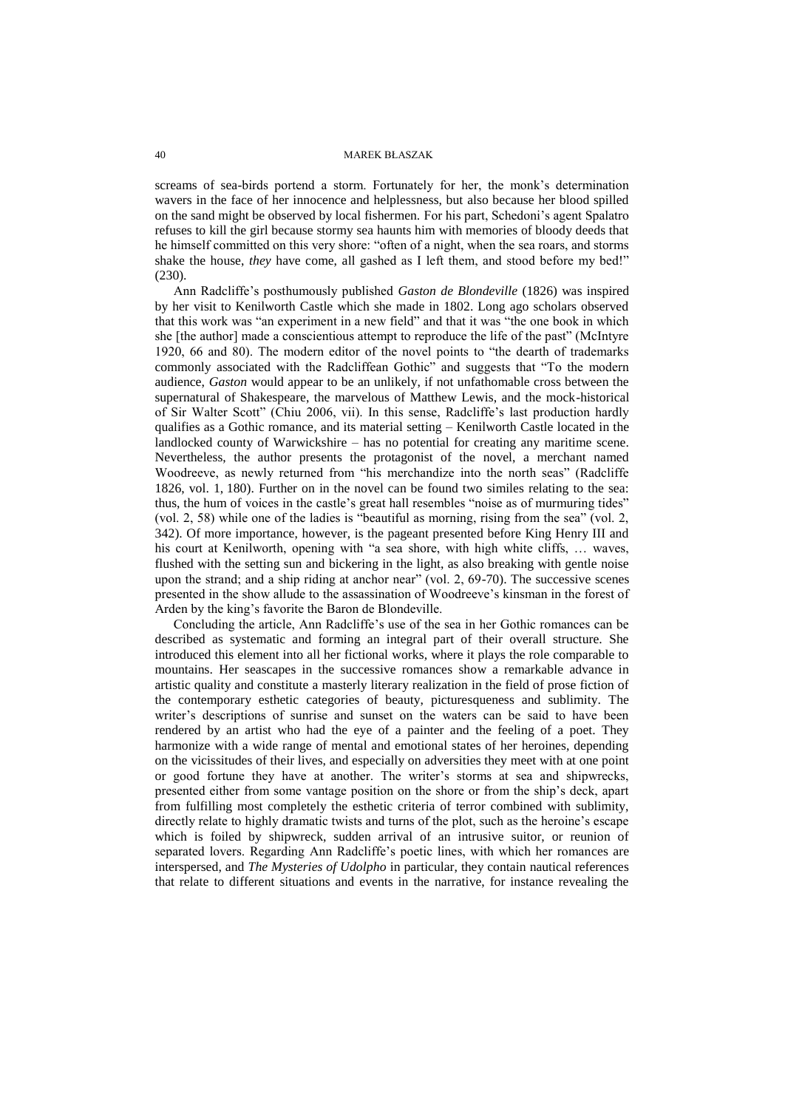screams of sea-birds portend a storm. Fortunately for her, the monk's determination wavers in the face of her innocence and helplessness, but also because her blood spilled on the sand might be observed by local fishermen. For his part, Schedoni's agent Spalatro refuses to kill the girl because stormy sea haunts him with memories of bloody deeds that he himself committed on this very shore: "often of a night, when the sea roars, and storms shake the house, *they* have come, all gashed as I left them, and stood before my bed!" (230).

Ann Radcliffe's posthumously published *Gaston de Blondeville* (1826) was inspired by her visit to Kenilworth Castle which she made in 1802. Long ago scholars observed that this work was "an experiment in a new field" and that it was "the one book in which she [the author] made a conscientious attempt to reproduce the life of the past" (McIntyre 1920, 66 and 80). The modern editor of the novel points to "the dearth of trademarks commonly associated with the Radcliffean Gothic" and suggests that "To the modern audience, *Gaston* would appear to be an unlikely, if not unfathomable cross between the supernatural of Shakespeare, the marvelous of Matthew Lewis, and the mock-historical of Sir Walter Scott" (Chiu 2006, vii). In this sense, Radcliffe's last production hardly qualifies as a Gothic romance, and its material setting – Kenilworth Castle located in the landlocked county of Warwickshire – has no potential for creating any maritime scene. Nevertheless, the author presents the protagonist of the novel, a merchant named Woodreeve, as newly returned from "his merchandize into the north seas" (Radcliffe 1826, vol. 1, 180). Further on in the novel can be found two similes relating to the sea: thus, the hum of voices in the castle's great hall resembles "noise as of murmuring tides" (vol. 2, 58) while one of the ladies is "beautiful as morning, rising from the sea" (vol. 2, 342). Of more importance, however, is the pageant presented before King Henry III and his court at Kenilworth, opening with "a sea shore, with high white cliffs, … waves, flushed with the setting sun and bickering in the light, as also breaking with gentle noise upon the strand; and a ship riding at anchor near" (vol. 2, 69-70). The successive scenes presented in the show allude to the assassination of Woodreeve's kinsman in the forest of Arden by the king's favorite the Baron de Blondeville.

Concluding the article, Ann Radcliffe's use of the sea in her Gothic romances can be described as systematic and forming an integral part of their overall structure. She introduced this element into all her fictional works, where it plays the role comparable to mountains. Her seascapes in the successive romances show a remarkable advance in artistic quality and constitute a masterly literary realization in the field of prose fiction of the contemporary esthetic categories of beauty, picturesqueness and sublimity. The writer's descriptions of sunrise and sunset on the waters can be said to have been rendered by an artist who had the eye of a painter and the feeling of a poet. They harmonize with a wide range of mental and emotional states of her heroines, depending on the vicissitudes of their lives, and especially on adversities they meet with at one point or good fortune they have at another. The writer's storms at sea and shipwrecks, presented either from some vantage position on the shore or from the ship's deck, apart from fulfilling most completely the esthetic criteria of terror combined with sublimity, directly relate to highly dramatic twists and turns of the plot, such as the heroine's escape which is foiled by shipwreck, sudden arrival of an intrusive suitor, or reunion of separated lovers. Regarding Ann Radcliffe's poetic lines, with which her romances are interspersed, and *The Mysteries of Udolpho* in particular, they contain nautical references that relate to different situations and events in the narrative, for instance revealing the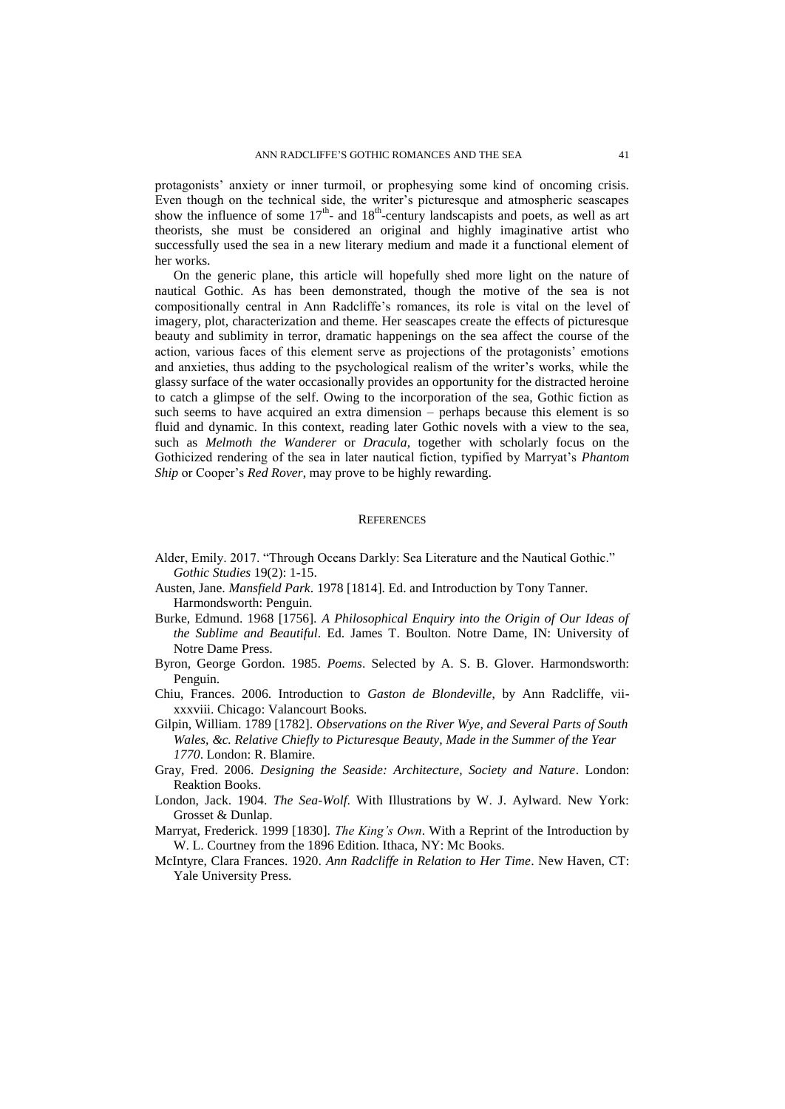protagonists' anxiety or inner turmoil, or prophesying some kind of oncoming crisis. Even though on the technical side, the writer's picturesque and atmospheric seascapes show the influence of some  $17<sup>th</sup>$ - and  $18<sup>th</sup>$ -century landscapists and poets, as well as art theorists, she must be considered an original and highly imaginative artist who successfully used the sea in a new literary medium and made it a functional element of her works.

On the generic plane, this article will hopefully shed more light on the nature of nautical Gothic. As has been demonstrated, though the motive of the sea is not compositionally central in Ann Radcliffe's romances, its role is vital on the level of imagery, plot, characterization and theme. Her seascapes create the effects of picturesque beauty and sublimity in terror, dramatic happenings on the sea affect the course of the action, various faces of this element serve as projections of the protagonists' emotions and anxieties, thus adding to the psychological realism of the writer's works, while the glassy surface of the water occasionally provides an opportunity for the distracted heroine to catch a glimpse of the self. Owing to the incorporation of the sea, Gothic fiction as such seems to have acquired an extra dimension – perhaps because this element is so fluid and dynamic. In this context, reading later Gothic novels with a view to the sea, such as *Melmoth the Wanderer* or *Dracula*, together with scholarly focus on the Gothicized rendering of the sea in later nautical fiction, typified by Marryat's *Phantom Ship* or Cooper's *Red Rover*, may prove to be highly rewarding.

#### **REFERENCES**

- Alder, Emily. 2017. "Through Oceans Darkly: Sea Literature and the Nautical Gothic." *Gothic Studies* 19(2): 1-15.
- Austen, Jane. *Mansfield Park*. 1978 [1814]. Ed. and Introduction by Tony Tanner. Harmondsworth: Penguin.
- Burke, Edmund. 1968 [1756]. *A Philosophical Enquiry into the Origin of Our Ideas of the Sublime and Beautiful*. Ed. James T. Boulton. Notre Dame, IN: University of Notre Dame Press.
- Byron, George Gordon. 1985. *Poems*. Selected by A. S. B. Glover. Harmondsworth: Penguin.
- Chiu, Frances. 2006. Introduction to *Gaston de Blondeville*, by Ann Radcliffe, viixxxviii. Chicago: Valancourt Books.
- Gilpin, William. 1789 [1782]. *Observations on the River Wye, and Several Parts of South Wales, &c. Relative Chiefly to Picturesque Beauty, Made in the Summer of the Year 1770*. London: R. Blamire.
- Gray, Fred. 2006. *Designing the Seaside: Architecture, Society and Nature*. London: Reaktion Books.
- London, Jack. 1904. *The Sea-Wolf*. With Illustrations by W. J. Aylward. New York: Grosset & Dunlap.
- Marryat, Frederick. 1999 [1830]. *The King's Own*. With a Reprint of the Introduction by W. L. Courtney from the 1896 Edition. Ithaca, NY: Mc Books.
- McIntyre, Clara Frances. 1920. *Ann Radcliffe in Relation to Her Time*. New Haven, CT: Yale University Press.